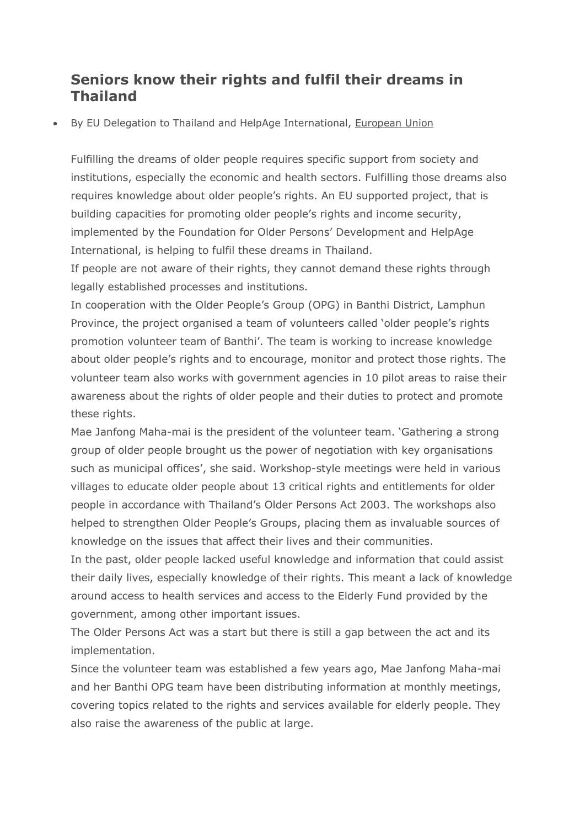## **Seniors know their rights and fulfil their dreams in Thailand**

By EU Delegation to Thailand and HelpAge International, [European](https://europa.eu/eyd2015/en/european-union) Union

Fulfilling the dreams of older people requires specific support from society and institutions, especially the economic and health sectors. Fulfilling those dreams also requires knowledge about older people's rights. An EU supported project, that is building capacities for promoting older people's rights and income security, implemented by the Foundation for Older Persons' Development and HelpAge International, is helping to fulfil these dreams in Thailand.

If people are not aware of their rights, they cannot demand these rights through legally established processes and institutions.

In cooperation with the Older People's Group (OPG) in Banthi District, Lamphun Province, the project organised a team of volunteers called 'older people's rights promotion volunteer team of Banthi'. The team is working to increase knowledge about older people's rights and to encourage, monitor and protect those rights. The volunteer team also works with government agencies in 10 pilot areas to raise their awareness about the rights of older people and their duties to protect and promote these rights.

Mae Janfong Maha-mai is the president of the volunteer team. 'Gathering a strong group of older people brought us the power of negotiation with key organisations such as municipal offices', she said. Workshop-style meetings were held in various villages to educate older people about 13 critical rights and entitlements for older people in accordance with Thailand's Older Persons Act 2003. The workshops also helped to strengthen Older People's Groups, placing them as invaluable sources of knowledge on the issues that affect their lives and their communities.

In the past, older people lacked useful knowledge and information that could assist their daily lives, especially knowledge of their rights. This meant a lack of knowledge around access to health services and access to the Elderly Fund provided by the government, among other important issues.

The Older Persons Act was a start but there is still a gap between the act and its implementation.

Since the volunteer team was established a few years ago, Mae Janfong Maha-mai and her Banthi OPG team have been distributing information at monthly meetings, covering topics related to the rights and services available for elderly people. They also raise the awareness of the public at large.